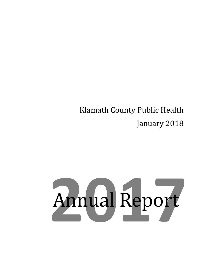### Klamath County Public Health January 2018

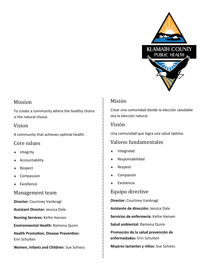

#### Mission

To create a community where the healthy choice is the natural choice.

#### Vision

A community that achieves optimal health.

#### Core values

- Integrity
- Accountability
- ◆ Respect
- Compassion
- Excellence

#### Management team

**Director:** Courtney Vanbragt

**Assistant Director:** Jessica Dale

**Nursing Services:** Kellie Hansen

**Environmental Health:** Ramona Quinn

**Health Promotion, Disease Prevention:**  Erin Schulten

**Women, Infants and Children:** Sue Schiess

### Misión

Crear una comunidad donde la elección saludable sea la elección natural.

#### Visión

Una comunidad que logra una salud óptima.

### Valores fundamentales

- Integridad
- Responsabilidad
- Respeto
- Compasión
- Excelencia

#### Equipo directive

**Director:** Courtney Vanbragt

**Asistente de dirección:** Jessica Dale

**Servicios de enfermería:** Kellie Hansen

**Salud ambiental:** Ramona Quinn

**Promoción de la salud prevención de enfermedades:** Erin Schulten

**Mujeres lactantes y niños:** Sue Schiess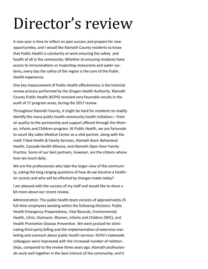## Director's review

A new year is time to reflect on past success and prepare for new opportunities, and I would like Klamath County residents to know that Public Health is constantly at work ensuring the safety and health of all in the community. Whether its ensuring residents have access to immunizations or inspecting restaurants and water systems, every day the safety of the region is the core of the Public Health experience.

One key measurement of Public Health effectiveness is the triennial review process performed by the Oregon Health Authority. Klamath County Public Health (KCPH) received very favorable results in the audit of 17 program areas, during the 2017 review.

Throughout Klamath County, it might be hard for residents to readily identify the many public health community health initiatives – from air quality to the partnership and support offered through the Women, Infants and Children program. At Public Health, we are fortunate to count Sky Lakes Medical Center as a vital partner, along with Klamath Tribal Health & Family Services, Klamath Basin Behavioral Health, Cascade Health Alliance, and Klamath Open Door Family Practice. Some of our best partners, however, are the citizens whose lives we touch daily.

We are the professionals who take the larger view of the community, asking the long ranging questions of how do we become a healthier society and who will be effected by changes made today?

I am pleased with the success of my staff and would like to share a bit more about our recent review.

Administration: The public health team consists of approximately 25 full-time employees working within the following Divisions: Public Health Emergency Preparedness, Vital Records, Environmental Health, Clinic, Outreach, Women, Infants and Children (WIC), and Health Promotion Disease Prevention. We were praised for eliminating third-party billing and the implementation of extensive marketing and outreach about public health services. KCPH's statewide colleagues were impressed with the increased number of relationships, compared to the review three years ago. Klamath professionals work well together in the best interest of the community, and it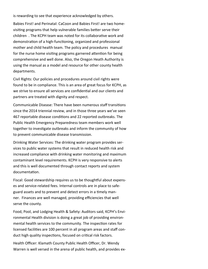is rewarding to see that experience acknowledged by others.

Babies First! and Perinatal: CaCoon and Babies First! are two homevisiting programs that help vulnerable families better serve their children . The KCPH team was noted for its collaborative work and demonstration of a high-functioning, organized and professional mother and child health team. The policy and procedures manual for the nurse home visiting programs garnered attention for being comprehensive and well done. Also, the Oregon Heath Authority is using the manual as a model and resource for other county health departments.

Civil Rights: Our policies and procedures around civil rights were found to be in compliance. This is an area of great focus for KCPH, as we strive to ensure all services are confidential and our clients and partners are treated with dignity and respect.

Communicable Disease: There have been numerous staff transitions since the 2014 triennial review, and in those three years we've seen 467 reportable disease conditions and 22 reported outbreaks. The Public Health Emergency Preparedness team members work well together to investigate outbreaks and inform the community of how to prevent communicable disease transmission.

Drinking Water Services: The drinking water program provides services to public water systems that result in reduced health risk and increased compliance with drinking water monitoring and maximum contaminant level requirements. KCPH is very responsive to alerts and this is well documented through contact reports and system documentation.

Fiscal: Good stewardship requires us to be thoughtful about expenses and service-related fees. Internal controls are in place to safeguard assets and to prevent and detect errors in a timely manner. Finances are well managed, providing efficiencies that well serve the county.

Food, Pool, and Lodging Health & Safety: Auditors said, KCPH's Environmental Health division is doing a great job of providing environmental health services to the community. The inspection rates for licensed facilities are 100 percent in all program areas and staff conduct high quality inspections, focused on critical risk factors.

Health Officer: Klamath County Public Health Officer, Dr. Wendy Warren is well versed in the arena of public health, and provides ex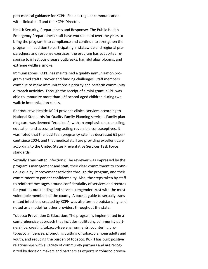pert medical guidance for KCPH. She has regular communication with clinical staff and the KCPH Director.

Health Security, Preparedness and Response: The Public Health Emergency Preparedness staff have worked hard over the years to bring the program into compliance and continue to strengthen the program. In addition to participating in statewide and regional preparedness and response exercises, the program has supported response to infectious disease outbreaks, harmful algal blooms, and extreme wildfire smoke.

Immunizations: KCPH has maintained a quality immunization program amid staff turnover and funding challenges. Staff members continue to make immunizations a priority and perform community outreach activities. Through the receipt of a mini grant, KCPH was able to immunize more than 125 school-aged children during two walk-in immunization clinics.

Reproductive Health: KCPH provides clinical services according to National Standards for Quality Family Planning services. Family planning care was deemed "excellent", with an emphasis on counseling, education and access to long-acting, reversible contraceptives. It was noted that the local teen pregnancy rate has decreased 61 percent since 2004, and that medical staff are providing excellent care according to the United States Preventative Services Task Force standards.

Sexually Transmitted Infections: The reviewer was impressed by the program's management and staff, their clear commitment to continuous quality improvement activities through the program, and their commitment to patient confidentiality. Also, the steps taken by staff to reinforce messages around confidentiality of services and records for youth is outstanding and serves to engender trust with the most vulnerable members of the county. A pocket guide to sexually transmitted infections created by KCPH was also termed outstanding, and noted as a model for other providers throughout the state.

Tobacco Prevention & Education: The program is implemented in a comprehensive approach that includes facilitating community partnerships, creating tobacco-free environments, countering protobacco influences, promoting quitting of tobacco among adults and youth, and reducing the burden of tobacco. KCPH has built positive relationships with a variety of community partners and are recognized by decision makers and partners as experts in tobacco preven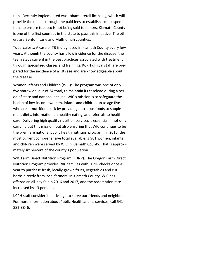tion . Recently implemented was tobacco retail licensing, which will provide the means through the paid fees to establish local inspections to ensure tobacco is not being sold to minors. Klamath County is one of the first counties in the state to pass this initiative. The others are Benton, Lane and Multnomah counties.

Tuberculosis: A case of TB is diagnosed in Klamath County every few years. Although the county has a low incidence for the disease, the team stays current in the best practices associated with treatment through specialized classes and trainings. KCPH clinical staff are prepared for the incidence of a TB case and are knowledgeable about the disease.

Women Infants and Children (WIC): The program was one of only five statewide, out of 34 total, to maintain its caseload during a period of state and national decline. WIC's mission is to safeguard the health of low-income women, infants and children up to age five who are at nutritional risk by providing nutritious foods to supplement diets, information on healthy eating, and referrals to health care. Delivering high quality nutrition services is essential in not only carrying out this mission, but also ensuring that WIC continues to be the premiere national public health nutrition program. In 2016, the most current comprehensive total available, 3,901 women, infants and children were served by WIC in Klamath County. That is approximately six percent of the county's population.

WIC Farm Direct Nutrition Program (FDNP): The Oregon Farm Direct Nutrition Program provides WIC families with FDNP checks once a year to purchase fresh, locally-grown fruits, vegetables and cut herbs directly from local farmers. In Klamath County, WIC has offered an all-day fair in 2016 and 2017, and the redemption rate increased by 13 percent.

KCPH staff consider it a privilege to serve our friends and neighbors. For more information about Public Health and its services, call 541- 882-8846.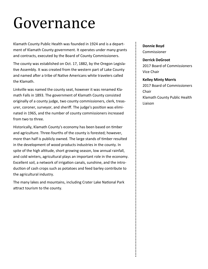## Governance

Klamath County Public Health was founded in 1924 and is a department of Klamath County government. It operates under many grants and contracts, executed by the Board of County Commissioners.

The county was established on Oct. 17, 1882, by the Oregon Legislative Assembly. It was created from the western part of Lake County and named after a tribe of Native Americans white travelers called the Klamath.

Linkville was named the county seat, however it was renamed Klamath Falls in 1893. The government of Klamath County consisted originally of a county judge, two county commissioners, clerk, treasurer, coroner, surveyor, and sheriff. The judge's position was eliminated in 1965, and the number of county commissioners increased from two to three.

Historically, Klamath County's economy has been based on timber and agriculture. Three-fourths of the county is forested; however, more than half is publicly owned. The large stands of timber resulted in the development of wood products industries in the county. In spite of the high altitude, short growing season, low annual rainfall, and cold winters, agricultural plays an important role in the economy. Excellent soil, a network of irrigation canals, sunshine, and the introduction of cash crops such as potatoes and feed barley contribute to the agricultural industry.

The many lakes and mountains, including Crater Lake National Park attract tourism to the county.

#### **Donnie Boyd** Commissioner

**Derrick DeGroot** 2017 Board of Commissioners Vice Chair

#### **Kelley Minty Morris** 2017 Board of Commissioners Chair Klamath County Public Health Liaison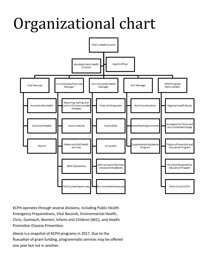## Organizational chart



KCPH operates through several divisions, including Public Health Emergency Preparedness, Vital Records, Environmental Health, Clinic, Outreach, Women, Infants and Children (WIC), and Health Promotion Disease Prevention.

Above is a snapshot of KCPH programs in 2017. Due to the fluxuation of grant funding, programmatic services may be offered one year but not in another.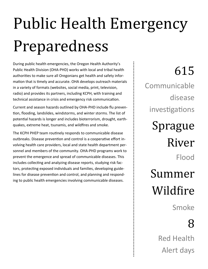# Public Health Emergency Preparedness

During public health emergencies, the Oregon Health Authority's Public Health Division (OHA-PHD) works with local and tribal health authorities to make sure all Oregonians get health and safety information that is timely and accurate. OHA develops outreach materials in a variety of formats (websites, social media, print, television, radio) and provides its partners, including KCPH, with training and technical assistance in crisis and emergency risk communication.

Current and season hazards outlined by OHA-PHD include flu prevention, flooding, landslides, windstorms, and winter storms. The list of potential hazards is longer and includes bioterrorism, drought, earthquakes, extreme heat, tsunamis, and wildfires and smoke.

The KCPH PHEP team routinely responds to communicable disease outbreaks. Disease prevention and control is a cooperative effort involving health care providers, local and state health department personnel and members of the community. OHA-PHD programs work to prevent the emergence and spread of communicable diseases. This includes collecting and analyzing disease reports, studying risk factors, protecting exposed individuals and families, developing guidelines for disease prevention and control, and planning and responding to public health emergencies involving communicable diseases.

615 Communicable disease investigations Sprague River Flood Summer Wildfire Smoke

### 8

Red Health Alert days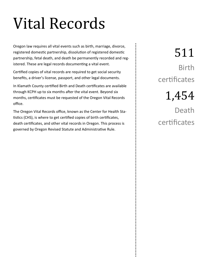## Vital Records

Oregon law requires all vital events such as birth, marriage, divorce, registered domestic partnership, dissolution of registered domestic partnership, fetal death, and death be permanently recorded and registered. These are legal records documenting a vital event.

Certified copies of vital records are required to get social security benefits, a driver's license, passport, and other legal documents.

In Klamath County certified Birth and Death certificates are available through KCPH up to six months after the vital event. Beyond six months, certificates must be requested of the Oregon Vital Records office.

The Oregon Vital Records office, known as the Center for Health Statistics (CHS), is where to get certified copies of birth certificates, death certificates, and other vital records in Oregon. This process is governed by Oregon Revised Statute and Administrative Rule.

511 Birth certificates

1,454

Death certificates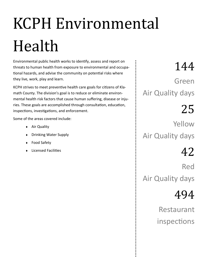# KCPH Environmental Health

Environmental public health works to identify, assess and report on threats to human health from exposure to environmental and occupational hazards, and advise the community on potential risks where they live, work, play and learn.

KCPH strives to meet preventive health care goals for citizens of Klamath County. The division's goal is to reduce or eliminate environmental health risk factors that cause human suffering, disease or injuries. These goals are accomplished through consultation, education, inspections, investigations, and enforcement.

Some of the areas covered include:

- ◆ Air Quality
- Drinking Water Supply
- ◆ Food Safety
- Licensed Facilities

144 Green Air Quality days

25

Yellow Air Quality days

42

Red Air Quality days

494

Restaurant inspections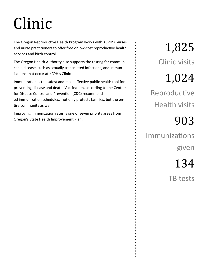## Clinic

The Oregon Reproductive Health Program works with KCPH's nurses and nurse practitioners to offer free or low-cost reproductive health services and birth control.

The Oregon Health Authority also supports the testing for communicable disease, such as sexually transmitted infections, and immunizations that occur at KCPH's Clinic.

Immunization is the safest and most effective public health tool for preventing disease and death. Vaccination, according to the Centers for Disease Control and Prevention (CDC) recommended immunization schedules, not only protects families, but the entire community as well.

Improving immunization rates is one of seven priority areas from Oregon's State Health Improvement Plan.

1,825 Clinic visits

## 1,024

Reproductive Health visits

## 903

Immunizations given

134

TB tests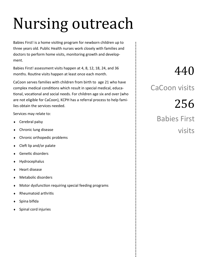## Nursing outreach

Babies First! is a home visiting program for newborn children up to three years old. Public Health nurses work closely with families and doctors to perform home visits, monitoring growth and development.

Babies First! assessment visits happen at 4, 8, 12, 18, 24, and 36 months. Routine visits happen at least once each month.

CaCoon serves families with children from birth to age 21 who have complex medical conditions which result in special medical, educational, vocational and social needs. For children age six and over (who are not eligible for CaCoon), KCPH has a referral process to help families obtain the services needed.

Services may relate to:

- Cerebral palsy
- Chronic lung disease
- Chronic orthopedic problems
- Cleft lip and/or palate
- Genetic disorders
- Hydrocephalus
- Heart disease
- Metabolic disorders
- Motor dysfunction requiring special feeding programs
- Rheumatoid arthritis
- Spina bifida
- Spinal cord injuries

### 440

CaCoon visits

256 Babies First visits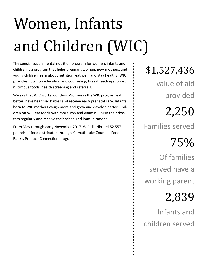# Women, Infants and Children (WIC)

The special supplemental nutrition program for women, infants and children is a program that helps pregnant women, new mothers, and young children learn about nutrition, eat well, and stay healthy. WIC provides nutrition education and counseling, breast feeding support, nutritious foods, health screening and referrals.

We say that WIC works wonders. Women in the WIC program eat better, have healthier babies and receive early prenatal care. Infants born to WIC mothers weigh more and grow and develop better. Children on WIC eat foods with more iron and vitamin C, visit their doctors regularly and receive their scheduled immunizations.

From May through early November 2017, WIC distributed 52,557 pounds of food distributed through Klamath Lake Counties Food Bank's Produce Connection program.

\$1,527,436

value of aid provided

### 2,250

Families served

### 75%

Of families served have a working parent

## 2,839

Infants and children served